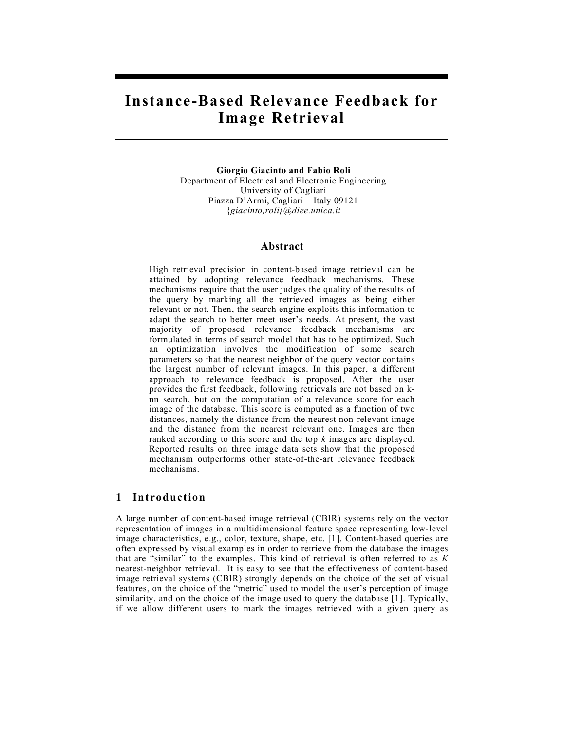# **Instance-Based Relevance Feedback for Image Retrieval**

**Giorgio Giacinto and Fabio Roli** Department of Electrical and Electronic Engineering University of Cagliari Piazza D'Armi, Cagliari – Italy 09121 {*giacinto,roli}@diee.unica.it*

### **Abstract**

High retrieval precision in content-based image retrieval can be attained by adopting relevance feedback mechanisms. These mechanisms require that the user judges the quality of the results of the query by marking all the retrieved images as being either relevant or not. Then, the search engine exploits this information to adapt the search to better meet user's needs. At present, the vast majority of proposed relevance feedback mechanisms are formulated in terms of search model that has to be optimized. Such an optimization involves the modification of some search parameters so that the nearest neighbor of the query vector contains the largest number of relevant images. In this paper, a different approach to relevance feedback is proposed. After the user provides the first feedback, following retrievals are not based on knn search, but on the computation of a relevance score for each image of the database. This score is computed as a function of two distances, namely the distance from the nearest non-relevant image and the distance from the nearest relevant one. Images are then ranked according to this score and the top *k* images are displayed. Reported results on three image data sets show that the proposed mechanism outperforms other state-of-the-art relevance feedback mechanisms.

# **1 Introduction**

A large number of content-based image retrieval (CBIR) systems rely on the vector representation of images in a multidimensional feature space representing low-level image characteristics, e.g., color, texture, shape, etc. [1]. Content-based queries are often expressed by visual examples in order to retrieve from the database the images that are "similar" to the examples. This kind of retrieval is often referred to as *K*  nearest-neighbor retrieval. It is easy to see that the effectiveness of content-based image retrieval systems (CBIR) strongly depends on the choice of the set of visual features, on the choice of the "metric" used to model the user's perception of image similarity, and on the choice of the image used to query the database [1]. Typically, if we allow different users to mark the images retrieved with a given query as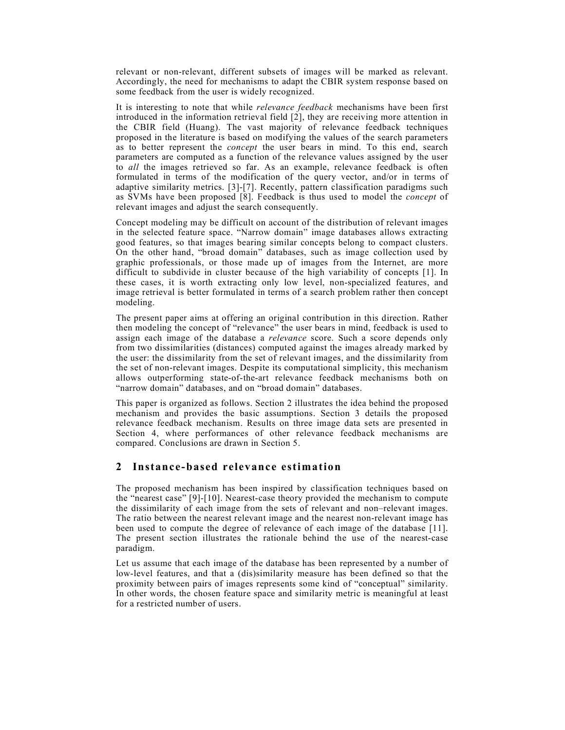relevant or non-relevant, different subsets of images will be marked as relevant. Accordingly, the need for mechanisms to adapt the CBIR system response based on some feedback from the user is widely recognized.

It is interesting to note that while *relevance feedback* mechanisms have been first introduced in the information retrieval field [2], they are receiving more attention in the CBIR field (Huang). The vast majority of relevance feedback techniques proposed in the literature is based on modifying the values of the search parameters as to better represent the *concept* the user bears in mind. To this end, search parameters are computed as a function of the relevance values assigned by the user to *all* the images retrieved so far. As an example, relevance feedback is often formulated in terms of the modification of the query vector, and/or in terms of adaptive similarity metrics. [3]-[7]. Recently, pattern classification paradigms such as SVMs have been proposed [8]. Feedback is thus used to model the *concept* of relevant images and adjust the search consequently.

Concept modeling may be difficult on account of the distribution of relevant images in the selected feature space. "Narrow domain" image databases allows extracting good features, so that images bearing similar concepts belong to compact clusters. On the other hand, "broad domain" databases, such as image collection used by graphic professionals, or those made up of images from the Internet, are more difficult to subdivide in cluster because of the high variability of concepts [1]. In these cases, it is worth extracting only low level, non-specialized features, and image retrieval is better formulated in terms of a search problem rather then concept modeling.

The present paper aims at offering an original contribution in this direction. Rather then modeling the concept of "relevance" the user bears in mind, feedback is used to assign each image of the database a *relevance* score. Such a score depends only from two dissimilarities (distances) computed against the images already marked by the user: the dissimilarity from the set of relevant images, and the dissimilarity from the set of non-relevant images. Despite its computational simplicity, this mechanism allows outperforming state-of-the-art relevance feedback mechanisms both on "narrow domain" databases, and on "broad domain" databases.

This paper is organized as follows. Section 2 illustrates the idea behind the proposed mechanism and provides the basic assumptions. Section 3 details the proposed relevance feedback mechanism. Results on three image data sets are presented in Section 4, where performances of other relevance feedback mechanisms are compared. Conclusions are drawn in Section 5.

# **2 Instance-based relevance estimation**

The proposed mechanism has been inspired by classification techniques based on the "nearest case" [9]-[10]. Nearest-case theory provided the mechanism to compute the dissimilarity of each image from the sets of relevant and non–relevant images. The ratio between the nearest relevant image and the nearest non-relevant image has been used to compute the degree of relevance of each image of the database [11]. The present section illustrates the rationale behind the use of the nearest-case paradigm.

Let us assume that each image of the database has been represented by a number of low-level features, and that a (dis)similarity measure has been defined so that the proximity between pairs of images represents some kind of "conceptual" similarity. In other words, the chosen feature space and similarity metric is meaningful at least for a restricted number of users.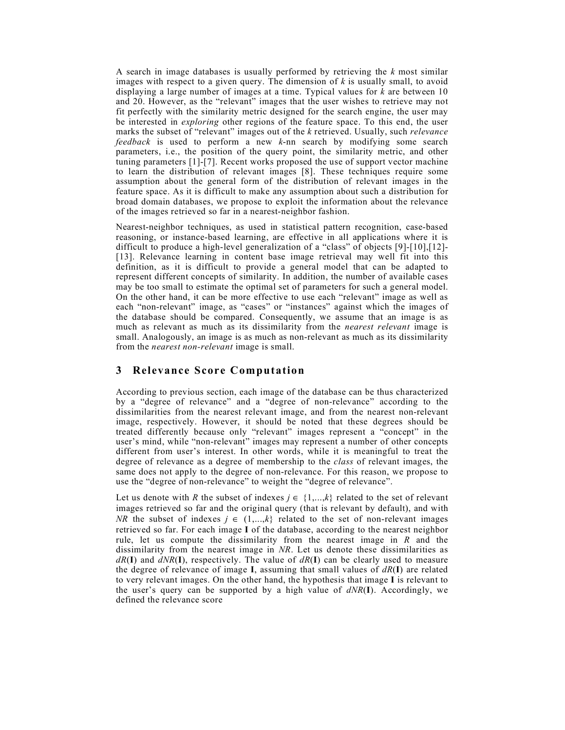A search in image databases is usually performed by retrieving the *k* most similar images with respect to a given query. The dimension of *k* is usually small, to avoid displaying a large number of images at a time. Typical values for *k* are between 10 and 20. However, as the "relevant" images that the user wishes to retrieve may not fit perfectly with the similarity metric designed for the search engine, the user may be interested in *exploring* other regions of the feature space. To this end, the user marks the subset of "relevant" images out of the *k* retrieved. Usually, such *relevance feedback* is used to perform a new *k*-nn search by modifying some search parameters, i.e., the position of the query point, the similarity metric, and other tuning parameters [1]-[7]. Recent works proposed the use of support vector machine to learn the distribution of relevant images [8]. These techniques require some assumption about the general form of the distribution of relevant images in the feature space. As it is difficult to make any assumption about such a distribution for broad domain databases, we propose to exploit the information about the relevance of the images retrieved so far in a nearest-neighbor fashion.

Nearest-neighbor techniques, as used in statistical pattern recognition, case-based reasoning, or instance-based learning, are effective in all applications where it is difficult to produce a high-level generalization of a "class" of objects [9]-[10],[12]- [13]. Relevance learning in content base image retrieval may well fit into this definition, as it is difficult to provide a general model that can be adapted to represent different concepts of similarity. In addition, the number of available cases may be too small to estimate the optimal set of parameters for such a general model. On the other hand, it can be more effective to use each "relevant" image as well as each "non-relevant" image, as "cases" or "instances" against which the images of the database should be compared. Consequently, we assume that an image is as much as relevant as much as its dissimilarity from the *nearest relevant* image is small. Analogously, an image is as much as non-relevant as much as its dissimilarity from the *nearest non-relevant* image is small.

# **3 Relevance Score Computation**

According to previous section, each image of the database can be thus characterized by a "degree of relevance" and a "degree of non-relevance" according to the dissimilarities from the nearest relevant image, and from the nearest non-relevant image, respectively. However, it should be noted that these degrees should be treated differently because only "relevant" images represent a "concept" in the user's mind, while "non-relevant" images may represent a number of other concepts different from user's interest. In other words, while it is meaningful to treat the degree of relevance as a degree of membership to the *class* of relevant images, the same does not apply to the degree of non-relevance. For this reason, we propose to use the "degree of non-relevance" to weight the "degree of relevance".

Let us denote with *R* the subset of indexes  $j \in \{1,...,k\}$  related to the set of relevant images retrieved so far and the original query (that is relevant by default), and with *NR* the subset of indexes  $j \in \{1,...,k\}$  related to the set of non-relevant images retrieved so far. For each image **I** of the database, according to the nearest neighbor rule, let us compute the dissimilarity from the nearest image in *R* and the dissimilarity from the nearest image in *NR*. Let us denote these dissimilarities as *dR*(**I**) and *dNR*(**I**), respectively. The value of *dR*(**I**) can be clearly used to measure the degree of relevance of image **I**, assuming that small values of  $dR(\mathbf{I})$  are related to very relevant images. On the other hand, the hypothesis that image **I** is relevant to the user's query can be supported by a high value of  $dNR(I)$ . Accordingly, we defined the relevance score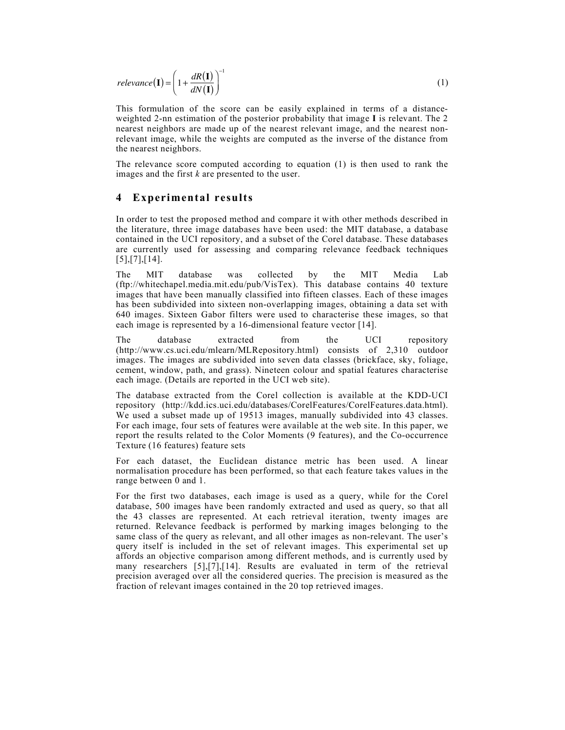$$
relevance(\mathbf{I}) = \left(1 + \frac{dR(\mathbf{I})}{dN(\mathbf{I})}\right)^{-1}
$$
\n(1)

This formulation of the score can be easily explained in terms of a distanceweighted 2-nn estimation of the posterior probability that image **I** is relevant. The 2 nearest neighbors are made up of the nearest relevant image, and the nearest nonrelevant image, while the weights are computed as the inverse of the distance from the nearest neighbors.

The relevance score computed according to equation (1) is then used to rank the images and the first *k* are presented to the user.

## **4 Experimental results**

In order to test the proposed method and compare it with other methods described in the literature, three image databases have been used: the MIT database, a database contained in the UCI repository, and a subset of the Corel database. These databases are currently used for assessing and comparing relevance feedback techniques [5],[7],[14].

The MIT database was collected by the MIT Media Lab (ftp://whitechapel.media.mit.edu/pub/VisTex). This database contains 40 texture images that have been manually classified into fifteen classes. Each of these images has been subdivided into sixteen non-overlapping images, obtaining a data set with 640 images. Sixteen Gabor filters were used to characterise these images, so that each image is represented by a 16-dimensional feature vector [14].

The database extracted from the UCI repository (http://www.cs.uci.edu/mlearn/MLRepository.html) consists of 2,310 outdoor images. The images are subdivided into seven data classes (brickface, sky, foliage, cement, window, path, and grass). Nineteen colour and spatial features characterise each image. (Details are reported in the UCI web site).

The database extracted from the Corel collection is available at the KDD-UCI repository (http://kdd.ics.uci.edu/databases/CorelFeatures/CorelFeatures.data.html). We used a subset made up of 19513 images, manually subdivided into 43 classes. For each image, four sets of features were available at the web site. In this paper, we report the results related to the Color Moments (9 features), and the Co-occurrence Texture (16 features) feature sets

For each dataset, the Euclidean distance metric has been used. A linear normalisation procedure has been performed, so that each feature takes values in the range between 0 and 1.

For the first two databases, each image is used as a query, while for the Corel database, 500 images have been randomly extracted and used as query, so that all the 43 classes are represented. At each retrieval iteration, twenty images are returned. Relevance feedback is performed by marking images belonging to the same class of the query as relevant, and all other images as non-relevant. The user's query itself is included in the set of relevant images. This experimental set up affords an objective comparison among different methods, and is currently used by many researchers [5],[7],[14]. Results are evaluated in term of the retrieval precision averaged over all the considered queries. The precision is measured as the fraction of relevant images contained in the 20 top retrieved images.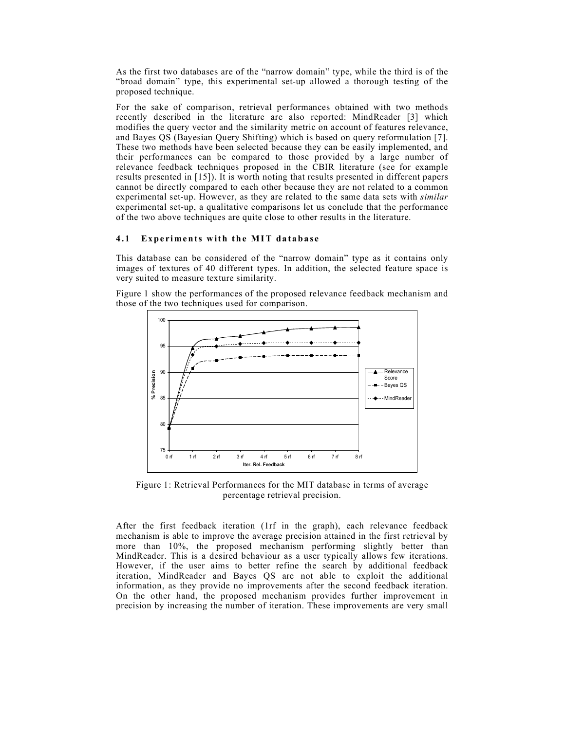As the first two databases are of the "narrow domain" type, while the third is of the "broad domain" type, this experimental set-up allowed a thorough testing of the proposed technique.

For the sake of comparison, retrieval performances obtained with two methods recently described in the literature are also reported: MindReader [3] which modifies the query vector and the similarity metric on account of features relevance, and Bayes QS (Bayesian Query Shifting) which is based on query reformulation [7]. These two methods have been selected because they can be easily implemented, and their performances can be compared to those provided by a large number of relevance feedback techniques proposed in the CBIR literature (see for example results presented in [15]). It is worth noting that results presented in different papers cannot be directly compared to each other because they are not related to a common experimental set-up. However, as they are related to the same data sets with *similar* experimental set-up, a qualitative comparisons let us conclude that the performance of the two above techniques are quite close to other results in the literature.

### **4.1 Experiments with the MIT database**

This database can be considered of the "narrow domain" type as it contains only images of textures of 40 different types. In addition, the selected feature space is very suited to measure texture similarity.

Figure 1 show the performances of the proposed relevance feedback mechanism and those of the two techniques used for comparison.



Figure 1: Retrieval Performances for the MIT database in terms of average percentage retrieval precision.

After the first feedback iteration (1rf in the graph), each relevance feedback mechanism is able to improve the average precision attained in the first retrieval by more than 10%, the proposed mechanism performing slightly better than MindReader. This is a desired behaviour as a user typically allows few iterations. However, if the user aims to better refine the search by additional feedback iteration, MindReader and Bayes QS are not able to exploit the additional information, as they provide no improvements after the second feedback iteration. On the other hand, the proposed mechanism provides further improvement in precision by increasing the number of iteration. These improvements are very small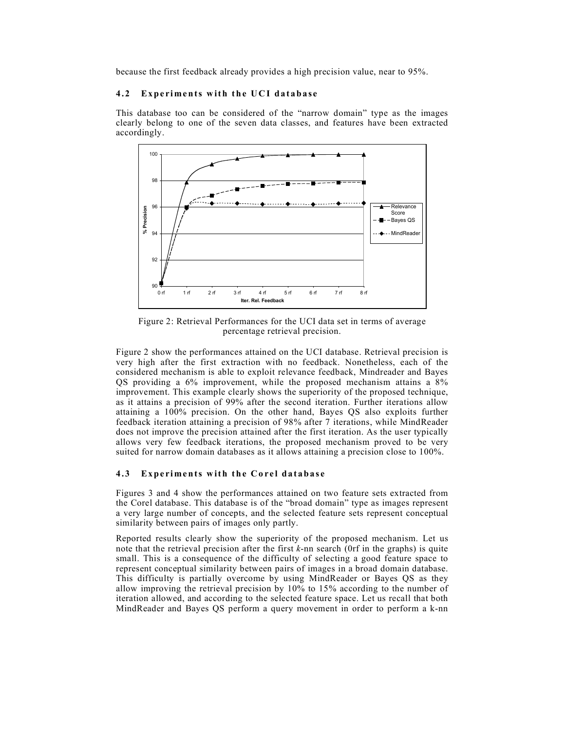because the first feedback already provides a high precision value, near to 95%.

#### **4.2** Experiments with the UCI database

This database too can be considered of the "narrow domain" type as the images clearly belong to one of the seven data classes, and features have been extracted accordingly.



Figure 2: Retrieval Performances for the UCI data set in terms of average percentage retrieval precision.

Figure 2 show the performances attained on the UCI database. Retrieval precision is very high after the first extraction with no feedback. Nonetheless, each of the considered mechanism is able to exploit relevance feedback, Mindreader and Bayes QS providing a 6% improvement, while the proposed mechanism attains a 8% improvement. This example clearly shows the superiority of the proposed technique, as it attains a precision of 99% after the second iteration. Further iterations allow attaining a 100% precision. On the other hand, Bayes QS also exploits further feedback iteration attaining a precision of 98% after 7 iterations, while MindReader does not improve the precision attained after the first iteration. As the user typically allows very few feedback iterations, the proposed mechanism proved to be very suited for narrow domain databases as it allows attaining a precision close to 100%.

#### **4.3** Experiments with the Corel database

Figures 3 and 4 show the performances attained on two feature sets extracted from the Corel database. This database is of the "broad domain" type as images represent a very large number of concepts, and the selected feature sets represent conceptual similarity between pairs of images only partly.

Reported results clearly show the superiority of the proposed mechanism. Let us note that the retrieval precision after the first *k*-nn search (0rf in the graphs) is quite small. This is a consequence of the difficulty of selecting a good feature space to represent conceptual similarity between pairs of images in a broad domain database. This difficulty is partially overcome by using MindReader or Bayes QS as they allow improving the retrieval precision by 10% to 15% according to the number of iteration allowed, and according to the selected feature space. Let us recall that both MindReader and Bayes QS perform a query movement in order to perform a k-nn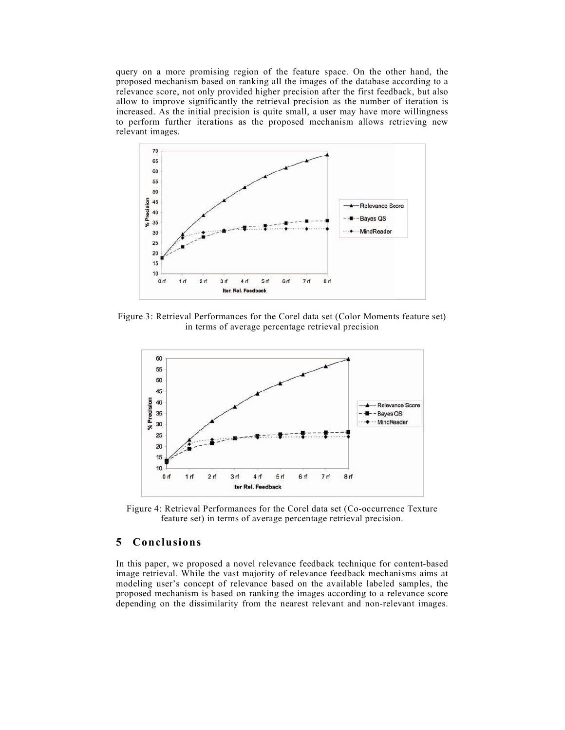query on a more promising region of the feature space. On the other hand, the proposed mechanism based on ranking all the images of the database according to a relevance score, not only provided higher precision after the first feedback, but also allow to improve significantly the retrieval precision as the number of iteration is increased. As the initial precision is quite small, a user may have more willingness to perform further iterations as the proposed mechanism allows retrieving new relevant images.



Figure 3: Retrieval Performances for the Corel data set (Color Moments feature set) in terms of average percentage retrieval precision



Figure 4: Retrieval Performances for the Corel data set (Co-occurrence Texture feature set) in terms of average percentage retrieval precision.

# **5 Conclusions**

In this paper, we proposed a novel relevance feedback technique for content-based image retrieval. While the vast majority of relevance feedback mechanisms aims at modeling user's concept of relevance based on the available labeled samples, the proposed mechanism is based on ranking the images according to a relevance score depending on the dissimilarity from the nearest relevant and non-relevant images.